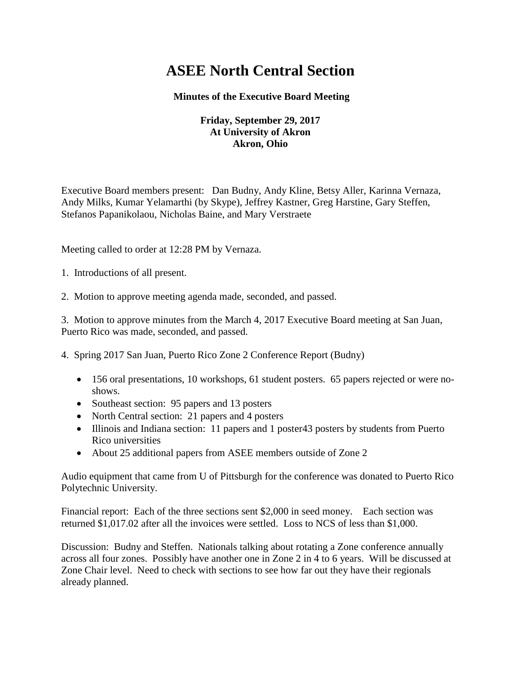# **ASEE North Central Section**

## **Minutes of the Executive Board Meeting**

## **Friday, September 29, 2017 At University of Akron Akron, Ohio**

Executive Board members present: Dan Budny, Andy Kline, Betsy Aller, Karinna Vernaza, Andy Milks, Kumar Yelamarthi (by Skype), Jeffrey Kastner, Greg Harstine, Gary Steffen, Stefanos Papanikolaou, Nicholas Baine, and Mary Verstraete

Meeting called to order at 12:28 PM by Vernaza.

1. Introductions of all present.

2. Motion to approve meeting agenda made, seconded, and passed.

3. Motion to approve minutes from the March 4, 2017 Executive Board meeting at San Juan, Puerto Rico was made, seconded, and passed.

4. Spring 2017 San Juan, Puerto Rico Zone 2 Conference Report (Budny)

- 156 oral presentations, 10 workshops, 61 student posters. 65 papers rejected or were noshows.
- Southeast section: 95 papers and 13 posters
- North Central section: 21 papers and 4 posters
- Illinois and Indiana section: 11 papers and 1 poster43 posters by students from Puerto Rico universities
- About 25 additional papers from ASEE members outside of Zone 2

Audio equipment that came from U of Pittsburgh for the conference was donated to Puerto Rico Polytechnic University.

Financial report: Each of the three sections sent \$2,000 in seed money. Each section was returned \$1,017.02 after all the invoices were settled. Loss to NCS of less than \$1,000.

Discussion: Budny and Steffen. Nationals talking about rotating a Zone conference annually across all four zones. Possibly have another one in Zone 2 in 4 to 6 years. Will be discussed at Zone Chair level. Need to check with sections to see how far out they have their regionals already planned.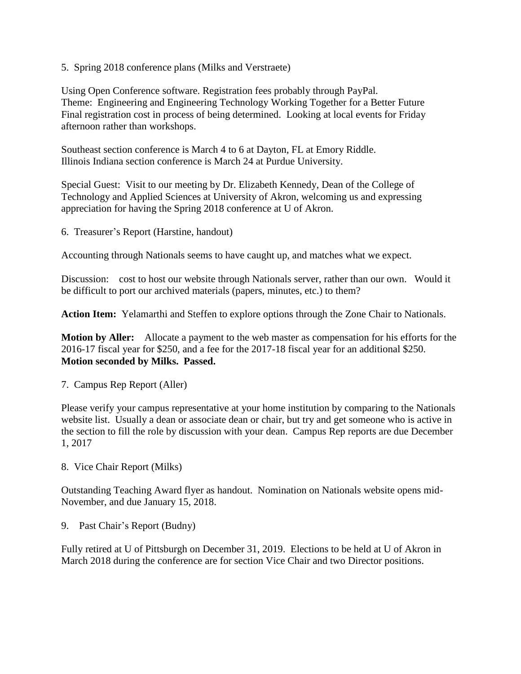5. Spring 2018 conference plans (Milks and Verstraete)

Using Open Conference software. Registration fees probably through PayPal. Theme: Engineering and Engineering Technology Working Together for a Better Future Final registration cost in process of being determined. Looking at local events for Friday afternoon rather than workshops.

Southeast section conference is March 4 to 6 at Dayton, FL at Emory Riddle. Illinois Indiana section conference is March 24 at Purdue University.

Special Guest: Visit to our meeting by Dr. Elizabeth Kennedy, Dean of the College of Technology and Applied Sciences at University of Akron, welcoming us and expressing appreciation for having the Spring 2018 conference at U of Akron.

6. Treasurer's Report (Harstine, handout)

Accounting through Nationals seems to have caught up, and matches what we expect.

Discussion: cost to host our website through Nationals server, rather than our own. Would it be difficult to port our archived materials (papers, minutes, etc.) to them?

**Action Item:** Yelamarthi and Steffen to explore options through the Zone Chair to Nationals.

**Motion by Aller:** Allocate a payment to the web master as compensation for his efforts for the 2016-17 fiscal year for \$250, and a fee for the 2017-18 fiscal year for an additional \$250. **Motion seconded by Milks. Passed.**

7. Campus Rep Report (Aller)

Please verify your campus representative at your home institution by comparing to the Nationals website list. Usually a dean or associate dean or chair, but try and get someone who is active in the section to fill the role by discussion with your dean. Campus Rep reports are due December 1, 2017

8. Vice Chair Report (Milks)

Outstanding Teaching Award flyer as handout. Nomination on Nationals website opens mid-November, and due January 15, 2018.

9. Past Chair's Report (Budny)

Fully retired at U of Pittsburgh on December 31, 2019. Elections to be held at U of Akron in March 2018 during the conference are for section Vice Chair and two Director positions.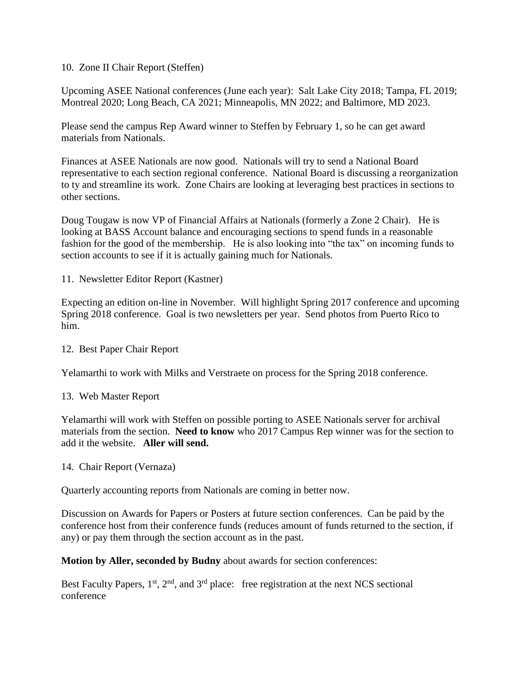## 10. Zone II Chair Report (Steffen)

Upcoming ASEE National conferences (June each year): Salt Lake City 2018; Tampa, FL 2019; Montreal 2020; Long Beach, CA 2021; Minneapolis, MN 2022; and Baltimore, MD 2023.

Please send the campus Rep Award winner to Steffen by February 1, so he can get award materials from Nationals.

Finances at ASEE Nationals are now good. Nationals will try to send a National Board representative to each section regional conference. National Board is discussing a reorganization to ty and streamline its work. Zone Chairs are looking at leveraging best practices in sections to other sections.

Doug Tougaw is now VP of Financial Affairs at Nationals (formerly a Zone 2 Chair). He is looking at BASS Account balance and encouraging sections to spend funds in a reasonable fashion for the good of the membership. He is also looking into "the tax" on incoming funds to section accounts to see if it is actually gaining much for Nationals.

11. Newsletter Editor Report (Kastner)

Expecting an edition on-line in November. Will highlight Spring 2017 conference and upcoming Spring 2018 conference. Goal is two newsletters per year. Send photos from Puerto Rico to him.

#### 12. Best Paper Chair Report

Yelamarthi to work with Milks and Verstraete on process for the Spring 2018 conference.

#### 13. Web Master Report

Yelamarthi will work with Steffen on possible porting to ASEE Nationals server for archival materials from the section. **Need to know** who 2017 Campus Rep winner was for the section to add it the website. **Aller will send.**

14. Chair Report (Vernaza)

Quarterly accounting reports from Nationals are coming in better now.

Discussion on Awards for Papers or Posters at future section conferences. Can be paid by the conference host from their conference funds (reduces amount of funds returned to the section, if any) or pay them through the section account as in the past.

**Motion by Aller, seconded by Budny** about awards for section conferences:

Best Faculty Papers,  $1<sup>st</sup>$ ,  $2<sup>nd</sup>$ , and  $3<sup>rd</sup>$  place: free registration at the next NCS sectional conference